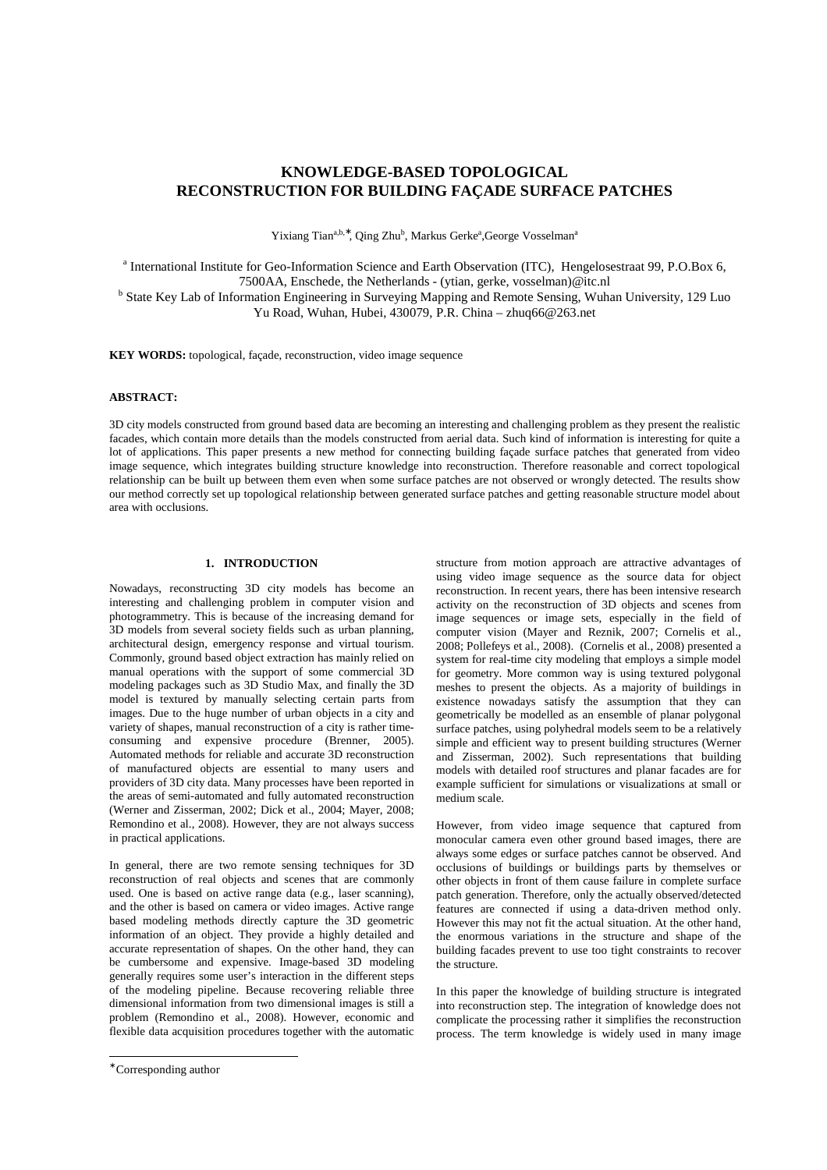# **KNOWLEDGE-BASED TOPOLOGICAL RECONSTRUCTION FOR BUILDING FAÇADE SURFACE PATCHES**

Yixiang Tian<sup>a,b,\*</sup>, Qing Zhu<sup>b</sup>, Markus Gerke<sup>a</sup>,George Vosselman<sup>a</sup>

<sup>a</sup> International Institute for Geo-Information Science and Earth Observation (ITC), Hengelosestraat 99, P.O.Box 6, 7500AA, Enschede, the Netherlands - (ytian, gerke, vosselman)@itc.nl

<sup>b</sup> State Key Lab of Information Engineering in Surveying Mapping and Remote Sensing, Wuhan University, 129 Luo Yu Road, Wuhan, Hubei, 430079, P.R. China – zhuq66@263.net

**KEY WORDS:** topological, façade, reconstruction, video image sequence

### **ABSTRACT:**

3D city models constructed from ground based data are becoming an interesting and challenging problem as they present the realistic facades, which contain more details than the models constructed from aerial data. Such kind of information is interesting for quite a lot of applications. This paper presents a new method for connecting building façade surface patches that generated from video image sequence, which integrates building structure knowledge into reconstruction. Therefore reasonable and correct topological relationship can be built up between them even when some surface patches are not observed or wrongly detected. The results show our method correctly set up topological relationship between generated surface patches and getting reasonable structure model about area with occlusions.

# **1. INTRODUCTION**

Nowadays, reconstructing 3D city models has become an interesting and challenging problem in computer vision and photogrammetry. This is because of the increasing demand for 3D models from several society fields such as urban planning, architectural design, emergency response and virtual tourism. Commonly, ground based object extraction has mainly relied on manual operations with the support of some commercial 3D modeling packages such as 3D Studio Max, and finally the 3D model is textured by manually selecting certain parts from images. Due to the huge number of urban objects in a city and variety of shapes, manual reconstruction of a city is rather timeconsuming and expensive procedure (Brenner, 2005). Automated methods for reliable and accurate 3D reconstruction of manufactured objects are essential to many users and providers of 3D city data. Many processes have been reported in the areas of semi-automated and fully automated reconstruction (Werner and Zisserman, 2002; Dick et al., 2004; Mayer, 2008; Remondino et al., 2008). However, they are not always success in practical applications.

In general, there are two remote sensing techniques for 3D reconstruction of real objects and scenes that are commonly used. One is based on active range data (e.g., laser scanning), and the other is based on camera or video images. Active range based modeling methods directly capture the 3D geometric information of an object. They provide a highly detailed and accurate representation of shapes. On the other hand, they can be cumbersome and expensive. Image-based 3D modeling generally requires some user's interaction in the different steps of the modeling pipeline. Because recovering reliable three dimensional information from two dimensional images is still a problem (Remondino et al., 2008). However, economic and flexible data acquisition procedures together with the automatic

 $\ddot{\phantom{a}}$ 

structure from motion approach are attractive advantages of using video image sequence as the source data for object reconstruction. In recent years, there has been intensive research activity on the reconstruction of 3D objects and scenes from image sequences or image sets, especially in the field of computer vision (Mayer and Reznik, 2007; Cornelis et al., 2008; Pollefeys et al., 2008). (Cornelis et al., 2008) presented a system for real-time city modeling that employs a simple model for geometry. More common way is using textured polygonal meshes to present the objects. As a majority of buildings in existence nowadays satisfy the assumption that they can geometrically be modelled as an ensemble of planar polygonal surface patches, using polyhedral models seem to be a relatively simple and efficient way to present building structures (Werner and Zisserman, 2002). Such representations that building models with detailed roof structures and planar facades are for example sufficient for simulations or visualizations at small or medium scale.

However, from video image sequence that captured from monocular camera even other ground based images, there are always some edges or surface patches cannot be observed. And occlusions of buildings or buildings parts by themselves or other objects in front of them cause failure in complete surface patch generation. Therefore, only the actually observed/detected features are connected if using a data-driven method only. However this may not fit the actual situation. At the other hand, the enormous variations in the structure and shape of the building facades prevent to use too tight constraints to recover the structure.

In this paper the knowledge of building structure is integrated into reconstruction step. The integration of knowledge does not complicate the processing rather it simplifies the reconstruction process. The term knowledge is widely used in many image

<sup>∗</sup> Corresponding author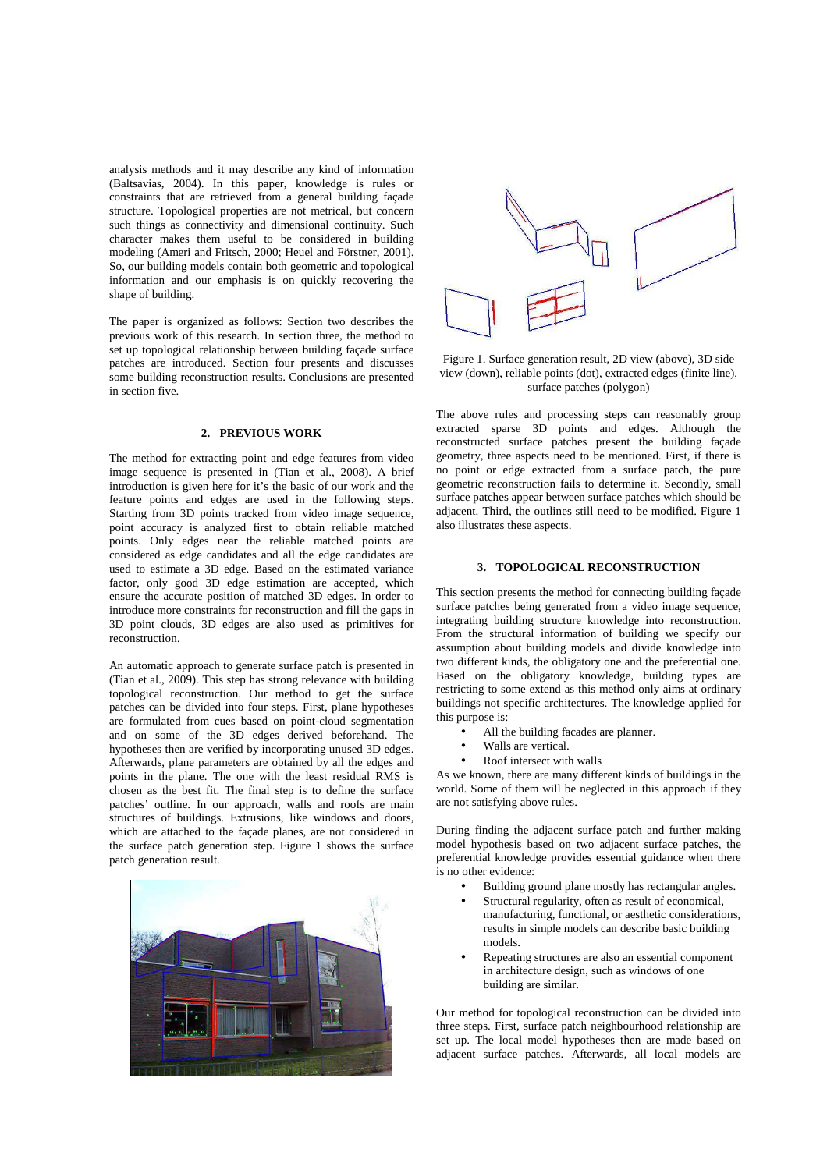analysis methods and it may describe any kind of information (Baltsavias, 2004). In this paper, knowledge is rules or constraints that are retrieved from a general building façade structure. Topological properties are not metrical, but concern such things as connectivity and dimensional continuity. Such character makes them useful to be considered in building modeling (Ameri and Fritsch, 2000; Heuel and Förstner, 2001). So, our building models contain both geometric and topological information and our emphasis is on quickly recovering the shape of building.

The paper is organized as follows: Section two describes the previous work of this research. In section three, the method to set up topological relationship between building façade surface patches are introduced. Section four presents and discusses some building reconstruction results. Conclusions are presented in section five.

### **2. PREVIOUS WORK**

The method for extracting point and edge features from video image sequence is presented in (Tian et al., 2008). A brief introduction is given here for it's the basic of our work and the feature points and edges are used in the following steps. Starting from 3D points tracked from video image sequence, point accuracy is analyzed first to obtain reliable matched points. Only edges near the reliable matched points are considered as edge candidates and all the edge candidates are used to estimate a 3D edge. Based on the estimated variance factor, only good 3D edge estimation are accepted, which ensure the accurate position of matched 3D edges. In order to introduce more constraints for reconstruction and fill the gaps in 3D point clouds, 3D edges are also used as primitives for reconstruction.

An automatic approach to generate surface patch is presented in (Tian et al., 2009). This step has strong relevance with building topological reconstruction. Our method to get the surface patches can be divided into four steps. First, plane hypotheses are formulated from cues based on point-cloud segmentation and on some of the 3D edges derived beforehand. The hypotheses then are verified by incorporating unused 3D edges. Afterwards, plane parameters are obtained by all the edges and points in the plane. The one with the least residual RMS is chosen as the best fit. The final step is to define the surface patches' outline. In our approach, walls and roofs are main structures of buildings. Extrusions, like windows and doors, which are attached to the facade planes, are not considered in the surface patch generation step. Figure 1 shows the surface patch generation result.





Figure 1. Surface generation result, 2D view (above), 3D side view (down), reliable points (dot), extracted edges (finite line), surface patches (polygon)

The above rules and processing steps can reasonably group extracted sparse 3D points and edges. Although the reconstructed surface patches present the building façade geometry, three aspects need to be mentioned. First, if there is no point or edge extracted from a surface patch, the pure geometric reconstruction fails to determine it. Secondly, small surface patches appear between surface patches which should be adjacent. Third, the outlines still need to be modified. Figure 1 also illustrates these aspects.

### **3. TOPOLOGICAL RECONSTRUCTION**

This section presents the method for connecting building façade surface patches being generated from a video image sequence, integrating building structure knowledge into reconstruction. From the structural information of building we specify our assumption about building models and divide knowledge into two different kinds, the obligatory one and the preferential one. Based on the obligatory knowledge, building types are restricting to some extend as this method only aims at ordinary buildings not specific architectures. The knowledge applied for this purpose is:

- All the building facades are planner.
- Walls are vertical.
- Roof intersect with walls

As we known, there are many different kinds of buildings in the world. Some of them will be neglected in this approach if they are not satisfying above rules.

During finding the adjacent surface patch and further making model hypothesis based on two adjacent surface patches, the preferential knowledge provides essential guidance when there is no other evidence:

- Building ground plane mostly has rectangular angles.
- Structural regularity, often as result of economical, manufacturing, functional, or aesthetic considerations, results in simple models can describe basic building models.
- Repeating structures are also an essential component in architecture design, such as windows of one building are similar.

Our method for topological reconstruction can be divided into three steps. First, surface patch neighbourhood relationship are set up. The local model hypotheses then are made based on adjacent surface patches. Afterwards, all local models are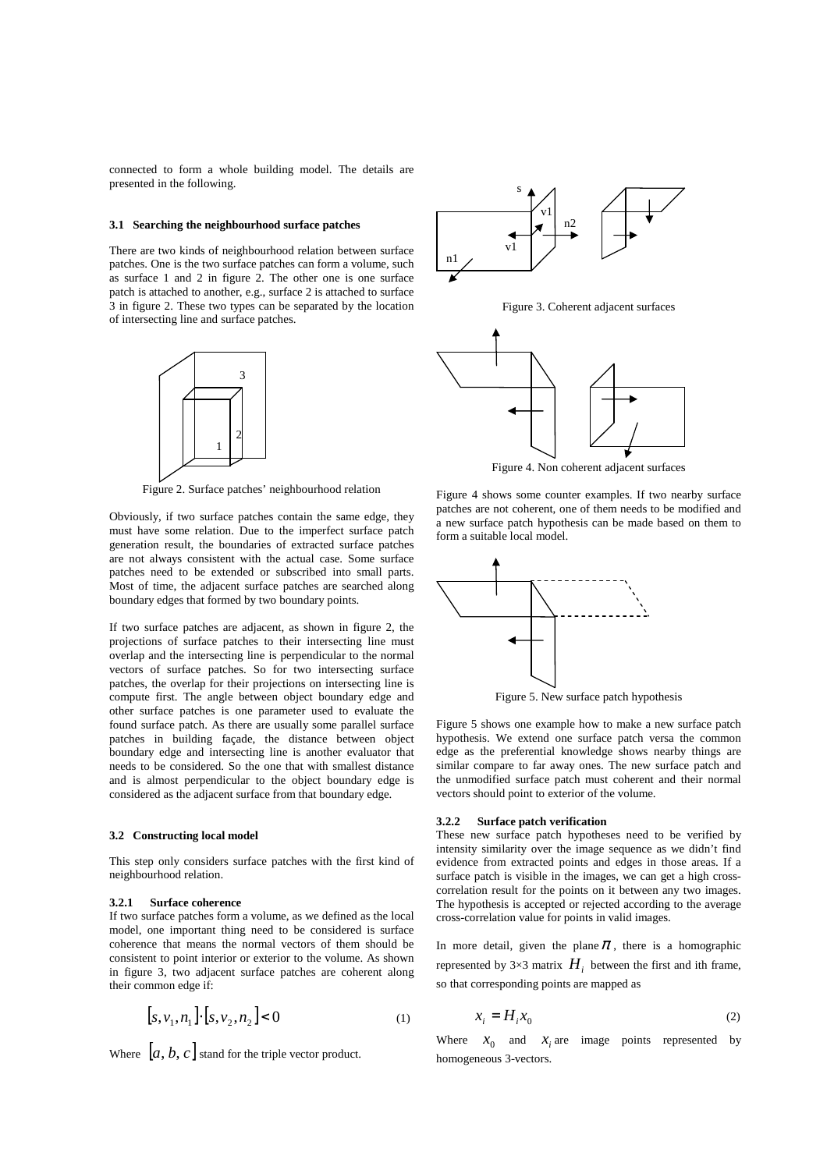connected to form a whole building model. The details are presented in the following.

#### **3.1 Searching the neighbourhood surface patches**

There are two kinds of neighbourhood relation between surface patches. One is the two surface patches can form a volume, such as surface 1 and 2 in figure 2. The other one is one surface patch is attached to another, e.g., surface 2 is attached to surface 3 in figure 2. These two types can be separated by the location of intersecting line and surface patches.



Figure 2. Surface patches' neighbourhood relation

Obviously, if two surface patches contain the same edge, they must have some relation. Due to the imperfect surface patch generation result, the boundaries of extracted surface patches are not always consistent with the actual case. Some surface patches need to be extended or subscribed into small parts. Most of time, the adjacent surface patches are searched along boundary edges that formed by two boundary points.

If two surface patches are adjacent, as shown in figure 2, the projections of surface patches to their intersecting line must overlap and the intersecting line is perpendicular to the normal vectors of surface patches. So for two intersecting surface patches, the overlap for their projections on intersecting line is compute first. The angle between object boundary edge and other surface patches is one parameter used to evaluate the found surface patch. As there are usually some parallel surface patches in building façade, the distance between object boundary edge and intersecting line is another evaluator that needs to be considered. So the one that with smallest distance and is almost perpendicular to the object boundary edge is considered as the adjacent surface from that boundary edge.

### **3.2 Constructing local model**

This step only considers surface patches with the first kind of neighbourhood relation.

### **3.2.1 Surface coherence**

If two surface patches form a volume, as we defined as the local model, one important thing need to be considered is surface coherence that means the normal vectors of them should be consistent to point interior or exterior to the volume. As shown in figure 3, two adjacent surface patches are coherent along their common edge if:

$$
[s, v_1, n_1] \cdot [s, v_2, n_2] < 0 \tag{1}
$$

Where  $[a, b, c]$  stand for the triple vector product.



Figure 3. Coherent adjacent surfaces



Figure 4. Non coherent adjacent surfaces

Figure 4 shows some counter examples. If two nearby surface patches are not coherent, one of them needs to be modified and a new surface patch hypothesis can be made based on them to form a suitable local model.



Figure 5. New surface patch hypothesis

Figure 5 shows one example how to make a new surface patch hypothesis. We extend one surface patch versa the common edge as the preferential knowledge shows nearby things are similar compare to far away ones. The new surface patch and the unmodified surface patch must coherent and their normal vectors should point to exterior of the volume.

## **3.2.2 Surface patch verification**

These new surface patch hypotheses need to be verified by intensity similarity over the image sequence as we didn't find evidence from extracted points and edges in those areas. If a surface patch is visible in the images, we can get a high crosscorrelation result for the points on it between any two images. The hypothesis is accepted or rejected according to the average cross-correlation value for points in valid images.

In more detail, given the plane  $\pi$ , there is a homographic represented by  $3\times3$  matrix  $H_i$  between the first and ith frame, so that corresponding points are mapped as

$$
x_i = H_i x_0 \tag{2}
$$

Where  $x_0$  and  $x_i$  are image points represented by homogeneous 3-vectors.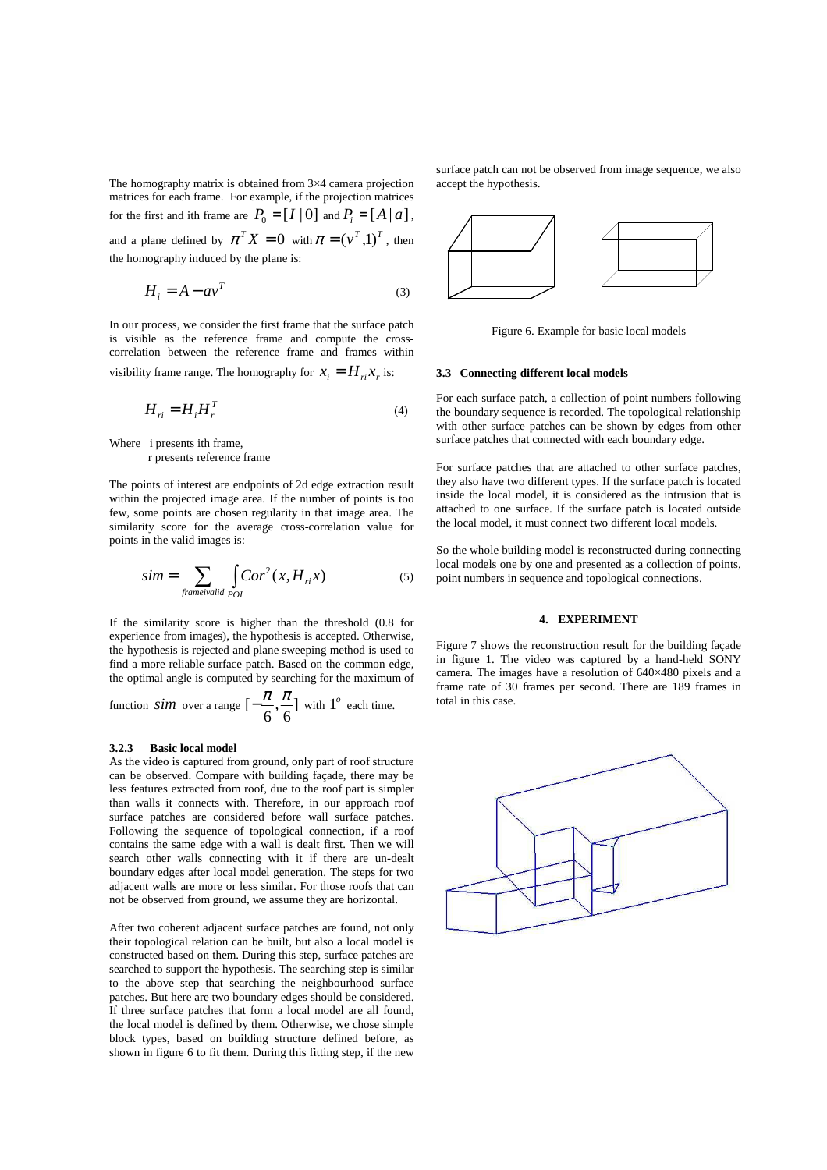The homography matrix is obtained from 3×4 camera projection matrices for each frame. For example, if the projection matrices for the first and ith frame are  $P_0 = [I | 0]$  and  $P_i = [A | a]$ , and a plane defined by  $\pi^T X = 0$  with  $\pi = (\nu^T, 1)^T$ , then the homography induced by the plane is:

$$
H_i = A - av^T \tag{3}
$$

In our process, we consider the first frame that the surface patch is visible as the reference frame and compute the crosscorrelation between the reference frame and frames within visibility frame range. The homography for  $x_i = H_{ri} x_r$  is:

$$
H_{ri} = H_i H_r^T \tag{4}
$$

Where i presents ith frame, r presents reference frame

The points of interest are endpoints of 2d edge extraction result within the projected image area. If the number of points is too few, some points are chosen regularity in that image area. The similarity score for the average cross-correlation value for points in the valid images is:

$$
sim = \sum_{\text{frameivalid}} \int_{\text{O}} \text{Cor}^2(x, H_{\text{ri}} x) \tag{5}
$$

If the similarity score is higher than the threshold (0.8 for experience from images), the hypothesis is accepted. Otherwise, the hypothesis is rejected and plane sweeping method is used to find a more reliable surface patch. Based on the common edge, the optimal angle is computed by searching for the maximum of

function *sim* over a range  $\left[-\frac{\pi}{6}, \frac{\pi}{6}\right]$ 6 , 6  $\left[-\frac{\pi}{\epsilon}, \frac{\pi}{\epsilon}\right]$  with  $1^{\circ}$  each time.

### **3.2.3 Basic local model**

As the video is captured from ground, only part of roof structure can be observed. Compare with building façade, there may be less features extracted from roof, due to the roof part is simpler than walls it connects with. Therefore, in our approach roof surface patches are considered before wall surface patches. Following the sequence of topological connection, if a roof contains the same edge with a wall is dealt first. Then we will search other walls connecting with it if there are un-dealt boundary edges after local model generation. The steps for two adjacent walls are more or less similar. For those roofs that can not be observed from ground, we assume they are horizontal.

After two coherent adjacent surface patches are found, not only their topological relation can be built, but also a local model is constructed based on them. During this step, surface patches are searched to support the hypothesis. The searching step is similar to the above step that searching the neighbourhood surface patches. But here are two boundary edges should be considered. If three surface patches that form a local model are all found, the local model is defined by them. Otherwise, we chose simple block types, based on building structure defined before, as shown in figure 6 to fit them. During this fitting step, if the new

surface patch can not be observed from image sequence, we also accept the hypothesis.



Figure 6. Example for basic local models

#### **3.3 Connecting different local models**

For each surface patch, a collection of point numbers following the boundary sequence is recorded. The topological relationship with other surface patches can be shown by edges from other surface patches that connected with each boundary edge.

For surface patches that are attached to other surface patches, they also have two different types. If the surface patch is located inside the local model, it is considered as the intrusion that is attached to one surface. If the surface patch is located outside the local model, it must connect two different local models.

So the whole building model is reconstructed during connecting local models one by one and presented as a collection of points, point numbers in sequence and topological connections.

## **4. EXPERIMENT**

Figure 7 shows the reconstruction result for the building façade in figure 1. The video was captured by a hand-held SONY camera. The images have a resolution of 640×480 pixels and a frame rate of 30 frames per second. There are 189 frames in total in this case.

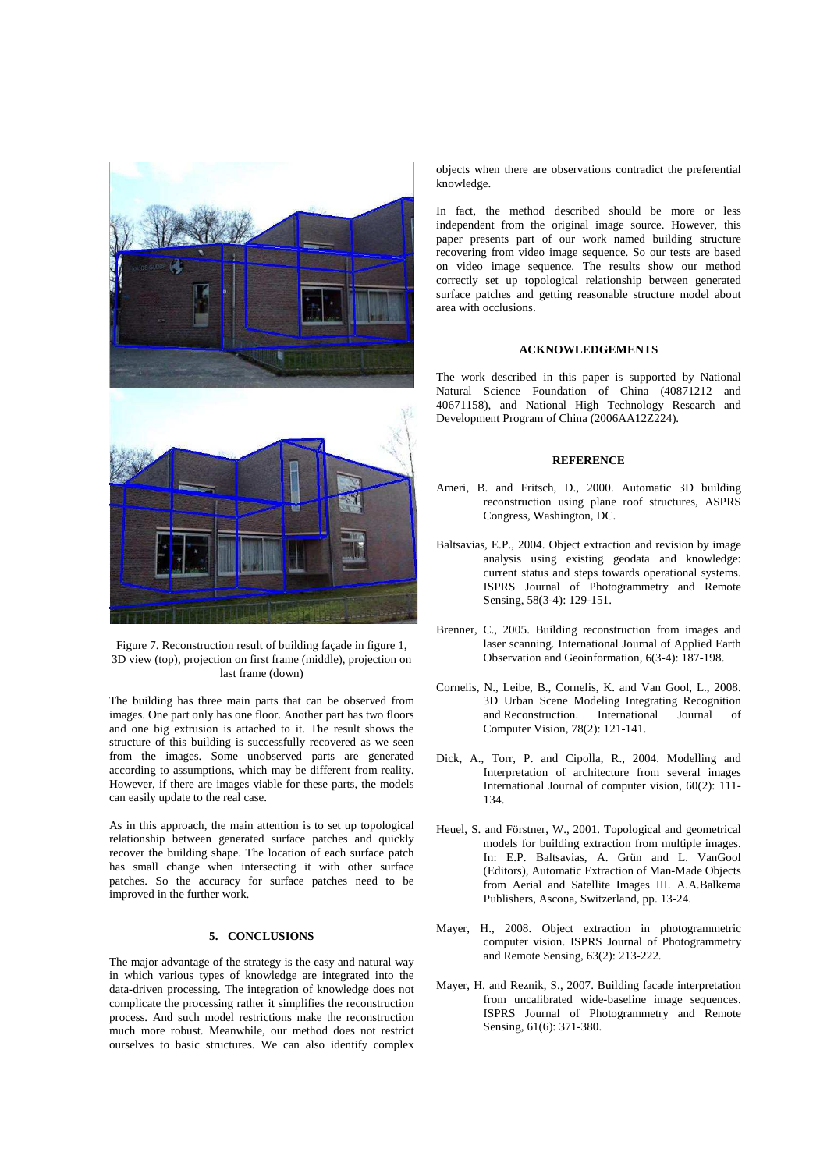

Figure 7. Reconstruction result of building façade in figure 1, 3D view (top), projection on first frame (middle), projection on last frame (down)

The building has three main parts that can be observed from images. One part only has one floor. Another part has two floors and one big extrusion is attached to it. The result shows the structure of this building is successfully recovered as we seen from the images. Some unobserved parts are generated according to assumptions, which may be different from reality. However, if there are images viable for these parts, the models can easily update to the real case.

As in this approach, the main attention is to set up topological relationship between generated surface patches and quickly recover the building shape. The location of each surface patch has small change when intersecting it with other surface patches. So the accuracy for surface patches need to be improved in the further work.

# **5. CONCLUSIONS**

The major advantage of the strategy is the easy and natural way in which various types of knowledge are integrated into the data-driven processing. The integration of knowledge does not complicate the processing rather it simplifies the reconstruction process. And such model restrictions make the reconstruction much more robust. Meanwhile, our method does not restrict ourselves to basic structures. We can also identify complex

objects when there are observations contradict the preferential knowledge.

In fact, the method described should be more or less independent from the original image source. However, this paper presents part of our work named building structure recovering from video image sequence. So our tests are based on video image sequence. The results show our method correctly set up topological relationship between generated surface patches and getting reasonable structure model about area with occlusions.

#### **ACKNOWLEDGEMENTS**

The work described in this paper is supported by National Natural Science Foundation of China (40871212 and 40671158), and National High Technology Research and Development Program of China (2006AA12Z224).

#### **REFERENCE**

- Ameri, B. and Fritsch, D., 2000. Automatic 3D building reconstruction using plane roof structures, ASPRS Congress, Washington, DC.
- Baltsavias, E.P., 2004. Object extraction and revision by image analysis using existing geodata and knowledge: current status and steps towards operational systems. ISPRS Journal of Photogrammetry and Remote Sensing, 58(3-4): 129-151.
- Brenner, C., 2005. Building reconstruction from images and laser scanning. International Journal of Applied Earth Observation and Geoinformation, 6(3-4): 187-198.
- Cornelis, N., Leibe, B., Cornelis, K. and Van Gool, L., 2008. 3D Urban Scene Modeling Integrating Recognition and Reconstruction. International Journal of Computer Vision, 78(2): 121-141.
- Dick, A., Torr, P. and Cipolla, R., 2004. Modelling and Interpretation of architecture from several images International Journal of computer vision, 60(2): 111- 134.
- Heuel, S. and Förstner, W., 2001. Topological and geometrical models for building extraction from multiple images. In: E.P. Baltsavias, A. Grün and L. VanGool (Editors), Automatic Extraction of Man-Made Objects from Aerial and Satellite Images III. A.A.Balkema Publishers, Ascona, Switzerland, pp. 13-24.
- Mayer, H., 2008. Object extraction in photogrammetric computer vision. ISPRS Journal of Photogrammetry and Remote Sensing, 63(2): 213-222.
- Mayer, H. and Reznik, S., 2007. Building facade interpretation from uncalibrated wide-baseline image sequences. ISPRS Journal of Photogrammetry and Remote Sensing, 61(6): 371-380.